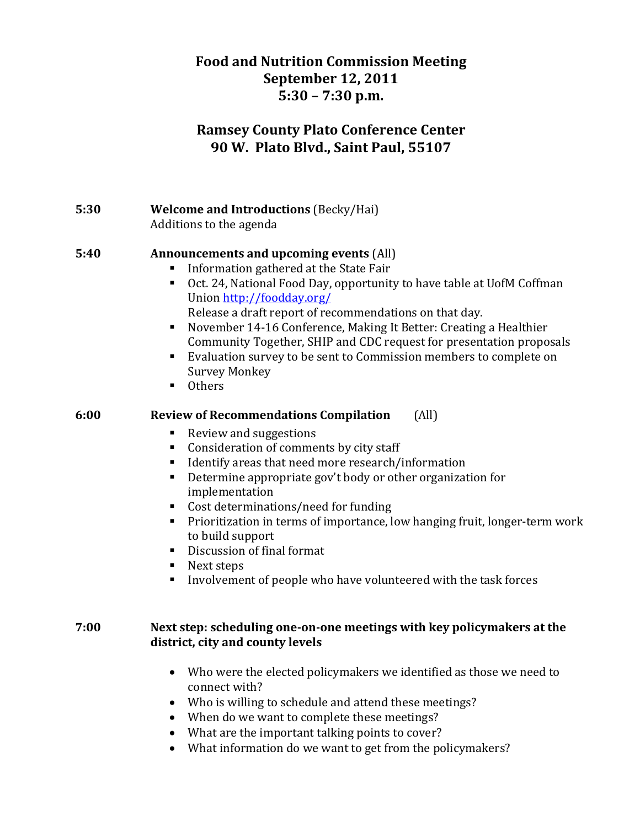# **Food and Nutrition Commission Meeting September 12, 2011 5:30 – 7:30 p.m.**

# **Ramsey County Plato Conference Center 90 W. Plato Blvd., Saint Paul, 55107**

## **5:30 Welcome and Introductions** (Becky/Hai) Additions to the agenda

#### **5:40 Announcements and upcoming events** (All)

- Information gathered at the State Fair
- Oct. 24, National Food Day, opportunity to have table at UofM Coffman Union http://foodday.org/ Release a draft report of recommendations on that day.
- November 14-16 Conference, Making It Better: Creating a Healthier Community Together, SHIP and CDC request for presentation proposals
- Evaluation survey to be sent to Commission members to complete on Survey Monkey
- **Others**

#### **6:00 Review of Recommendations Compilation** (All)

- Review and suggestions
- Consideration of comments by city staff
- Identify areas that need more research/information
- Determine appropriate gov't body or other organization for implementation
- Cost determinations/need for funding
- Prioritization in terms of importance, low hanging fruit, longer-term work to build support
- Discussion of final format
- $\blacksquare$  Next steps
- Involvement of people who have volunteered with the task forces

## **7:00 Next step: scheduling oneonone meetings with key policymakers at the district, city and county levels**

- Who were the elected policymakers we identified as those we need to connect with?
- Who is willing to schedule and attend these meetings?
- When do we want to complete these meetings?
- What are the important talking points to cover?
- What information do we want to get from the policymakers?